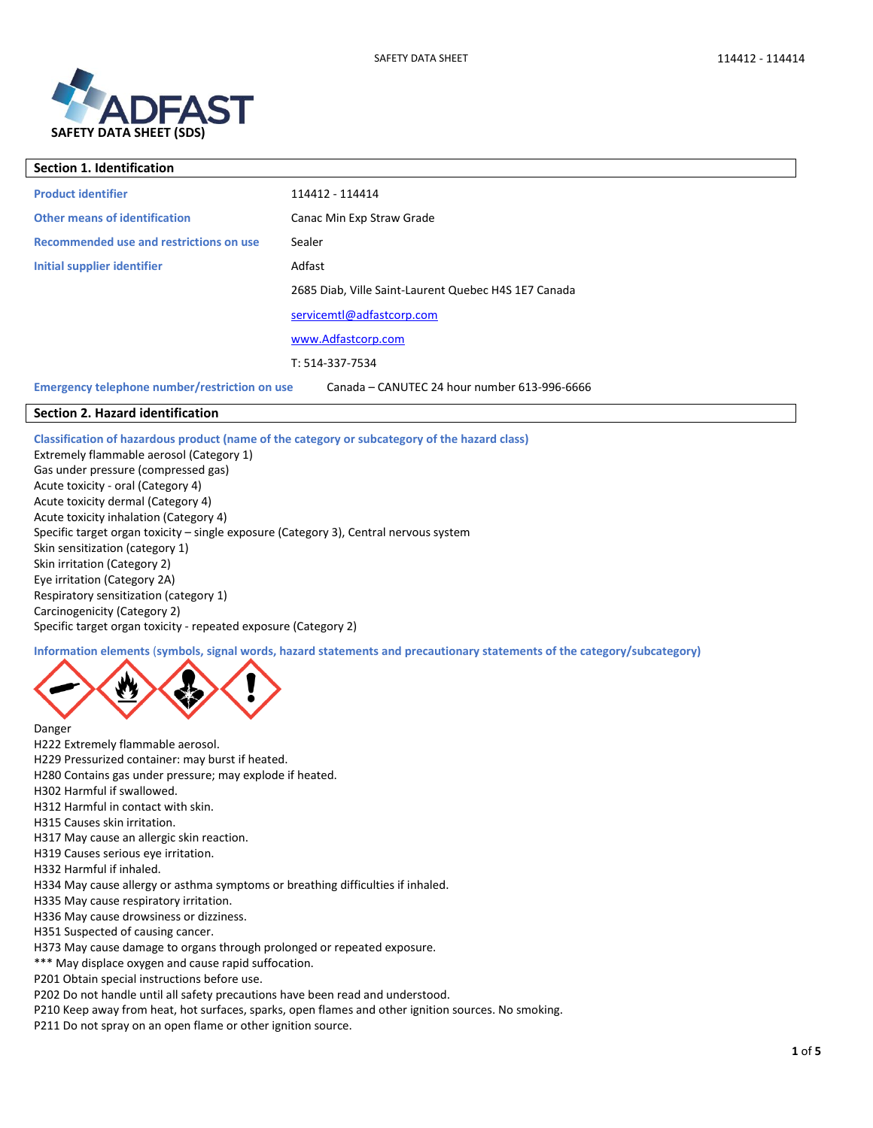



| <b>Section 1. Identification</b>              |                                                      |
|-----------------------------------------------|------------------------------------------------------|
| <b>Product identifier</b>                     | 114412 - 114414                                      |
| <b>Other means of identification</b>          | Canac Min Exp Straw Grade                            |
| Recommended use and restrictions on use       | Sealer                                               |
| Initial supplier identifier                   | Adfast                                               |
|                                               | 2685 Diab, Ville Saint-Laurent Quebec H4S 1E7 Canada |
|                                               | servicemtl@adfastcorp.com                            |
|                                               | www.Adfastcorp.com                                   |
|                                               | T: 514-337-7534                                      |
| Emergency telephone number/restriction on use | Canada - CANUTEC 24 hour number 613-996-6666         |

# **Section 2. Hazard identification**

**Classification of hazardous product (name of the category or subcategory of the hazard class)**

Extremely flammable aerosol (Category 1) Gas under pressure (compressed gas) Acute toxicity - oral (Category 4) Acute toxicity dermal (Category 4) Acute toxicity inhalation (Category 4) Specific target organ toxicity – single exposure (Category 3), Central nervous system Skin sensitization (category 1) Skin irritation (Category 2) Eye irritation (Category 2A) Respiratory sensitization (category 1) Carcinogenicity (Category 2) Specific target organ toxicity - repeated exposure (Category 2)

**Information elements** (**symbols, signal words, hazard statements and precautionary statements of the category/subcategory)**



H222 Extremely flammable aerosol.

Danger

- H229 Pressurized container: may burst if heated. H280 Contains gas under pressure; may explode if heated. H302 Harmful if swallowed. H312 Harmful in contact with skin. H315 Causes skin irritation. H317 May cause an allergic skin reaction. H319 Causes serious eye irritation. H332 Harmful if inhaled. H334 May cause allergy or asthma symptoms or breathing difficulties if inhaled. H335 May cause respiratory irritation. H336 May cause drowsiness or dizziness. H351 Suspected of causing cancer. H373 May cause damage to organs through prolonged or repeated exposure. \*\*\* May displace oxygen and cause rapid suffocation.
- P201 Obtain special instructions before use.

P202 Do not handle until all safety precautions have been read and understood.

P210 Keep away from heat, hot surfaces, sparks, open flames and other ignition sources. No smoking.

P211 Do not spray on an open flame or other ignition source.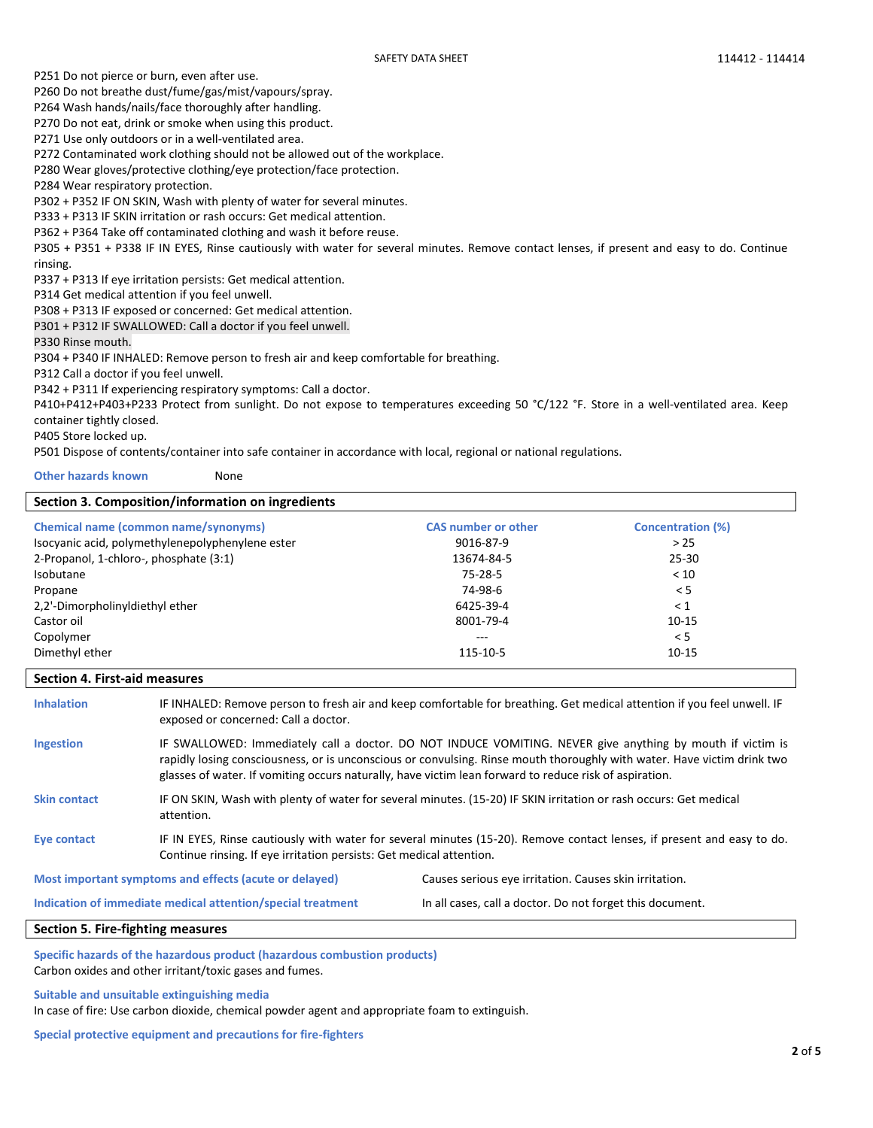P251 Do not pierce or burn, even after use.

P260 Do not breathe dust/fume/gas/mist/vapours/spray.

P264 Wash hands/nails/face thoroughly after handling.

P270 Do not eat, drink or smoke when using this product.

P271 Use only outdoors or in a well-ventilated area.

P272 Contaminated work clothing should not be allowed out of the workplace.

P280 Wear gloves/protective clothing/eye protection/face protection.

P284 Wear respiratory protection.

P302 + P352 IF ON SKIN, Wash with plenty of water for several minutes.

P333 + P313 IF SKIN irritation or rash occurs: Get medical attention.

P362 + P364 Take off contaminated clothing and wash it before reuse.

P305 + P351 + P338 IF IN EYES, Rinse cautiously with water for several minutes. Remove contact lenses, if present and easy to do. Continue rinsing.

P337 + P313 If eye irritation persists: Get medical attention.

P314 Get medical attention if you feel unwell.

P308 + P313 IF exposed or concerned: Get medical attention.

P301 + P312 IF SWALLOWED: Call a doctor if you feel unwell.

P330 Rinse mouth.

P304 + P340 IF INHALED: Remove person to fresh air and keep comfortable for breathing.

P312 Call a doctor if you feel unwell.

P342 + P311 If experiencing respiratory symptoms: Call a doctor.

P410+P412+P403+P233 Protect from sunlight. Do not expose to temperatures exceeding 50 °C/122 °F. Store in a well-ventilated area. Keep container tightly closed.

P405 Store locked up.

P501 Dispose of contents/container into safe container in accordance with local, regional or national regulations.

**Other hazards known** None

| Section 3. Composition/information on ingredients |                            |                          |
|---------------------------------------------------|----------------------------|--------------------------|
| <b>Chemical name (common name/synonyms)</b>       | <b>CAS number or other</b> | <b>Concentration (%)</b> |
| Isocyanic acid, polymethylenepolyphenylene ester  | 9016-87-9                  | >25                      |
| 2-Propanol, 1-chloro-, phosphate (3:1)            | 13674-84-5                 | $25 - 30$                |
| Isobutane                                         | 75-28-5                    | < 10                     |
| Propane                                           | 74-98-6                    | < 5                      |
| 2.2'-DimorpholinyIdiethyI ether                   | 6425-39-4                  | $\leq 1$                 |
| Castor oil                                        | 8001-79-4                  | $10 - 15$                |
| Copolymer                                         | $---$                      | < 5                      |
| Dimethyl ether                                    | 115-10-5                   | $10 - 15$                |

# **Section 4. First-aid measures**

**Inhalation** IF INHALED: Remove person to fresh air and keep comfortable for breathing. Get medical attention if you feel unwell. IF exposed or concerned: Call a doctor.

Ingestion **IF SWALLOWED:** Immediately call a doctor. DO NOT INDUCE VOMITING. NEVER give anything by mouth if victim is rapidly losing consciousness, or is unconscious or convulsing. Rinse mouth thoroughly with water. Have victim drink two glasses of water. If vomiting occurs naturally, have victim lean forward to reduce risk of aspiration. **Skin contact** IF ON SKIN, Wash with plenty of water for several minutes. (15-20) IF SKIN irritation or rash occurs: Get medical attention.

**Eye contact** IF IN EYES, Rinse cautiously with water for several minutes (15-20). Remove contact lenses, if present and easy to do. Continue rinsing. If eye irritation persists: Get medical attention.

**Most important symptoms and effects (acute or delayed)** Causes serious eye irritation. Causes skin irritation.

**Indication of immediate medical attention/special treatment** In all cases, call a doctor. Do not forget this document.

## **Section 5. Fire-fighting measures**

**Specific hazards of the hazardous product (hazardous combustion products)**  Carbon oxides and other irritant/toxic gases and fumes.

**Suitable and unsuitable extinguishing media**

In case of fire: Use carbon dioxide, chemical powder agent and appropriate foam to extinguish.

**Special protective equipment and precautions for fire-fighters**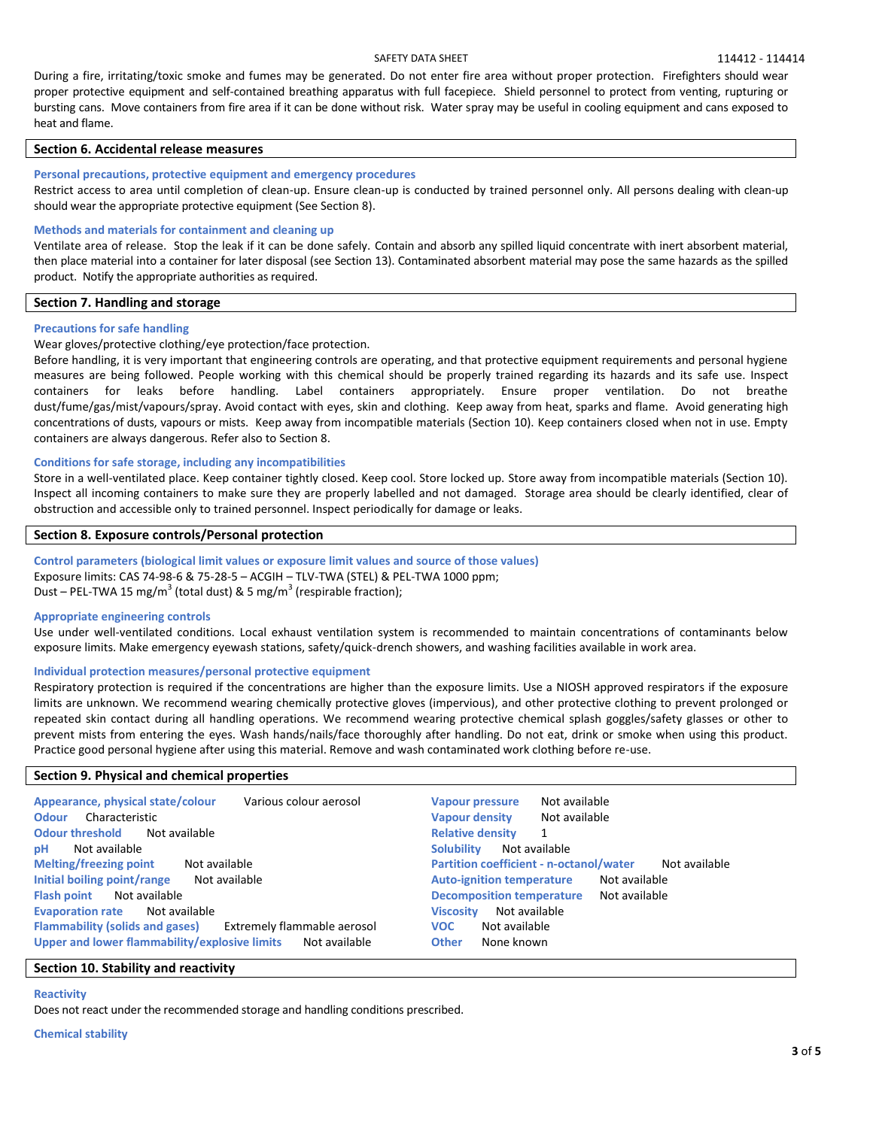## SAFETY DATA SHEET SAFET SAFET SAFETY DATA SHEET SAFETY DATA SHEET

During a fire, irritating/toxic smoke and fumes may be generated. Do not enter fire area without proper protection. Firefighters should wear proper protective equipment and self-contained breathing apparatus with full facepiece. Shield personnel to protect from venting, rupturing or bursting cans. Move containers from fire area if it can be done without risk. Water spray may be useful in cooling equipment and cans exposed to heat and flame.

## **Section 6. Accidental release measures**

## **Personal precautions, protective equipment and emergency procedures**

Restrict access to area until completion of clean-up. Ensure clean-up is conducted by trained personnel only. All persons dealing with clean-up should wear the appropriate protective equipment (See Section 8).

## **Methods and materials for containment and cleaning up**

Ventilate area of release. Stop the leak if it can be done safely. Contain and absorb any spilled liquid concentrate with inert absorbent material, then place material into a container for later disposal (see Section 13). Contaminated absorbent material may pose the same hazards as the spilled product. Notify the appropriate authorities as required.

## **Section 7. Handling and storage**

## **Precautions for safe handling**

Wear gloves/protective clothing/eye protection/face protection.

Before handling, it is very important that engineering controls are operating, and that protective equipment requirements and personal hygiene measures are being followed. People working with this chemical should be properly trained regarding its hazards and its safe use. Inspect containers for leaks before handling. Label containers appropriately. Ensure proper ventilation. Do not breathe dust/fume/gas/mist/vapours/spray. Avoid contact with eyes, skin and clothing. Keep away from heat, sparks and flame. Avoid generating high concentrations of dusts, vapours or mists. Keep away from incompatible materials (Section 10). Keep containers closed when not in use. Empty containers are always dangerous. Refer also to Section 8.

## **Conditions for safe storage, including any incompatibilities**

Store in a well-ventilated place. Keep container tightly closed. Keep cool. Store locked up. Store away from incompatible materials (Section 10). Inspect all incoming containers to make sure they are properly labelled and not damaged. Storage area should be clearly identified, clear of obstruction and accessible only to trained personnel. Inspect periodically for damage or leaks.

## **Section 8. Exposure controls/Personal protection**

**Control parameters (biological limit values or exposure limit values and source of those values)**  Exposure limits: CAS 74-98-6 & 75-28-5 – ACGIH – TLV-TWA (STEL) & PEL-TWA 1000 ppm; Dust – PEL-TWA 15 mg/m<sup>3</sup> (total dust) & 5 mg/m<sup>3</sup> (respirable fraction);

### **Appropriate engineering controls**

Use under well-ventilated conditions. Local exhaust ventilation system is recommended to maintain concentrations of contaminants below exposure limits. Make emergency eyewash stations, safety/quick-drench showers, and washing facilities available in work area.

## **Individual protection measures/personal protective equipment**

Respiratory protection is required if the concentrations are higher than the exposure limits. Use a NIOSH approved respirators if the exposure limits are unknown. We recommend wearing chemically protective gloves (impervious), and other protective clothing to prevent prolonged or repeated skin contact during all handling operations. We recommend wearing protective chemical splash goggles/safety glasses or other to prevent mists from entering the eyes. Wash hands/nails/face thoroughly after handling. Do not eat, drink or smoke when using this product. Practice good personal hygiene after using this material. Remove and wash contaminated work clothing before re-use.

## **Section 9. Physical and chemical properties**

| Appearance, physical state/colour<br>Various colour aerosol<br>Characteristic<br><b>Odour</b><br><b>Odour threshold</b><br>Not available | Not available<br><b>Vapour pressure</b><br><b>Vapour density</b><br>Not available<br><b>Relative density</b> |
|------------------------------------------------------------------------------------------------------------------------------------------|--------------------------------------------------------------------------------------------------------------|
| Not available                                                                                                                            | <b>Solubility</b>                                                                                            |
| рH                                                                                                                                       | Not available                                                                                                |
| <b>Melting/freezing point</b>                                                                                                            | <b>Partition coefficient - n-octanol/water</b>                                                               |
| Not available                                                                                                                            | Not available                                                                                                |
| Initial boiling point/range                                                                                                              | <b>Auto-ignition temperature</b>                                                                             |
| Not available                                                                                                                            | Not available                                                                                                |
| Not available                                                                                                                            | <b>Decomposition temperature</b>                                                                             |
| <b>Flash point</b>                                                                                                                       | Not available                                                                                                |
| <b>Evaporation rate</b>                                                                                                                  | Not available                                                                                                |
| Not available                                                                                                                            | <b>Viscosity</b>                                                                                             |
| Extremely flammable aerosol                                                                                                              | Not available                                                                                                |
| <b>Flammability (solids and gases)</b>                                                                                                   | <b>VOC</b>                                                                                                   |
| Upper and lower flammability/explosive limits                                                                                            | <b>Other</b>                                                                                                 |
| Not available                                                                                                                            | None known                                                                                                   |

## **Section 10. Stability and reactivity**

**Reactivity**

Does not react under the recommended storage and handling conditions prescribed.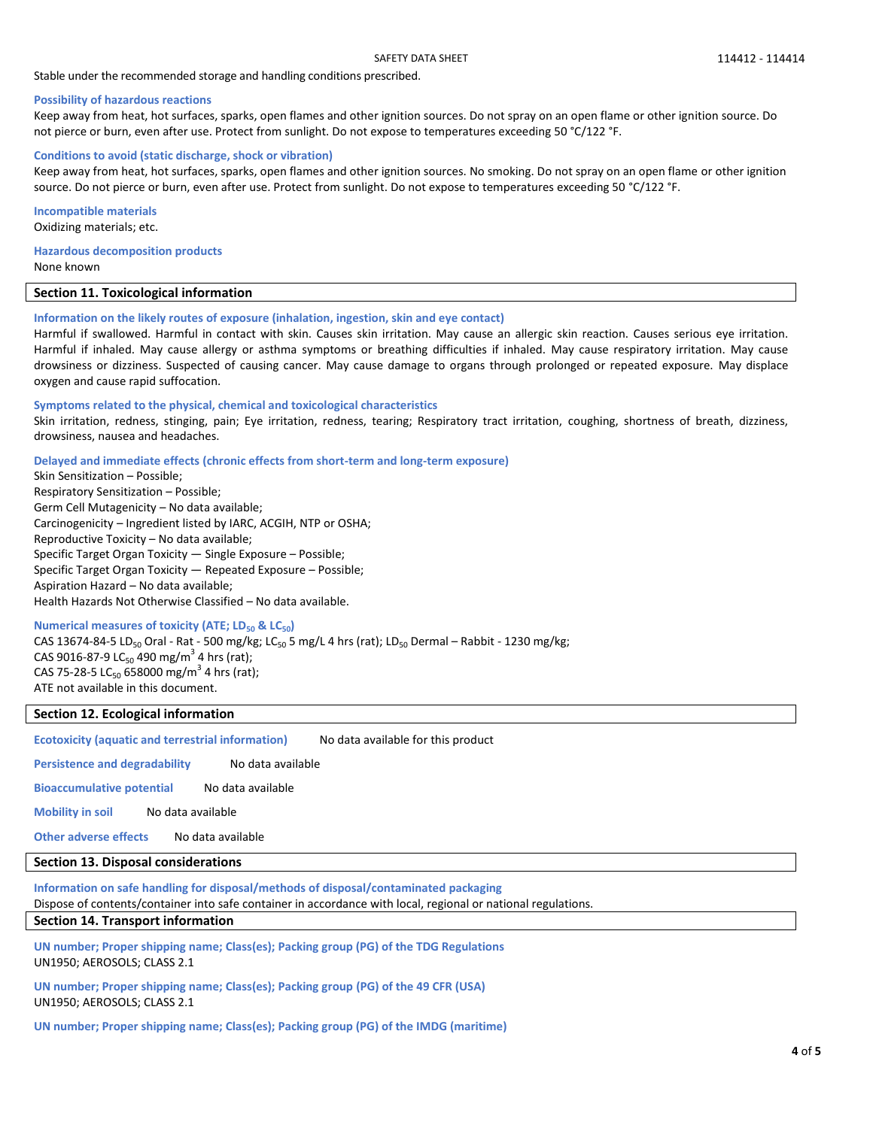## Stable under the recommended storage and handling conditions prescribed.

#### **Possibility of hazardous reactions**

Keep away from heat, hot surfaces, sparks, open flames and other ignition sources. Do not spray on an open flame or other ignition source. Do not pierce or burn, even after use. Protect from sunlight. Do not expose to temperatures exceeding 50 °C/122 °F.

#### **Conditions to avoid (static discharge, shock or vibration)**

Keep away from heat, hot surfaces, sparks, open flames and other ignition sources. No smoking. Do not spray on an open flame or other ignition source. Do not pierce or burn, even after use. Protect from sunlight. Do not expose to temperatures exceeding 50 °C/122 °F.

**Incompatible materials** Oxidizing materials; etc.

**Hazardous decomposition products** None known

#### **Section 11. Toxicological information**

#### **Information on the likely routes of exposure (inhalation, ingestion, skin and eye contact)**

Harmful if swallowed. Harmful in contact with skin. Causes skin irritation. May cause an allergic skin reaction. Causes serious eye irritation. Harmful if inhaled. May cause allergy or asthma symptoms or breathing difficulties if inhaled. May cause respiratory irritation. May cause drowsiness or dizziness. Suspected of causing cancer. May cause damage to organs through prolonged or repeated exposure. May displace oxygen and cause rapid suffocation.

#### **Symptoms related to the physical, chemical and toxicological characteristics**

Skin irritation, redness, stinging, pain; Eye irritation, redness, tearing; Respiratory tract irritation, coughing, shortness of breath, dizziness, drowsiness, nausea and headaches.

**Delayed and immediate effects (chronic effects from short-term and long-term exposure)**

Skin Sensitization – Possible; Respiratory Sensitization – Possible; Germ Cell Mutagenicity – No data available; Carcinogenicity – Ingredient listed by IARC, ACGIH, NTP or OSHA; Reproductive Toxicity – No data available; Specific Target Organ Toxicity — Single Exposure – Possible; Specific Target Organ Toxicity — Repeated Exposure – Possible; Aspiration Hazard – No data available; Health Hazards Not Otherwise Classified – No data available.

#### **Numerical measures of toxicity (ATE; LD<sup>50</sup> & LC50)**

CAS 13674-84-5 LD<sub>50</sub> Oral - Rat - 500 mg/kg; LC<sub>50</sub> 5 mg/L 4 hrs (rat); LD<sub>50</sub> Dermal – Rabbit - 1230 mg/kg; CAS 9016-87-9 LC<sub>50</sub> 490 mg/m<sup>3</sup> 4 hrs (rat); CAS 75-28-5 LC<sub>50</sub> 658000 mg/m<sup>3</sup> 4 hrs (rat); ATE not available in this document.

# **Section 12. Ecological information**

**Ecotoxicity (aquatic and terrestrial information)** No data available for this product

Persistence and degradability No data available

**Bioaccumulative potential** No data available

**Mobility in soil** No data available

**Other adverse effects** No data available

## **Section 13. Disposal considerations**

**Information on safe handling for disposal/methods of disposal/contaminated packaging** 

Dispose of contents/container into safe container in accordance with local, regional or national regulations.

## **Section 14. Transport information**

**UN number; Proper shipping name; Class(es); Packing group (PG) of the TDG Regulations** UN1950; AEROSOLS; CLASS 2.1

**UN number; Proper shipping name; Class(es); Packing group (PG) of the 49 CFR (USA)** UN1950; AEROSOLS; CLASS 2.1

**UN number; Proper shipping name; Class(es); Packing group (PG) of the IMDG (maritime)**